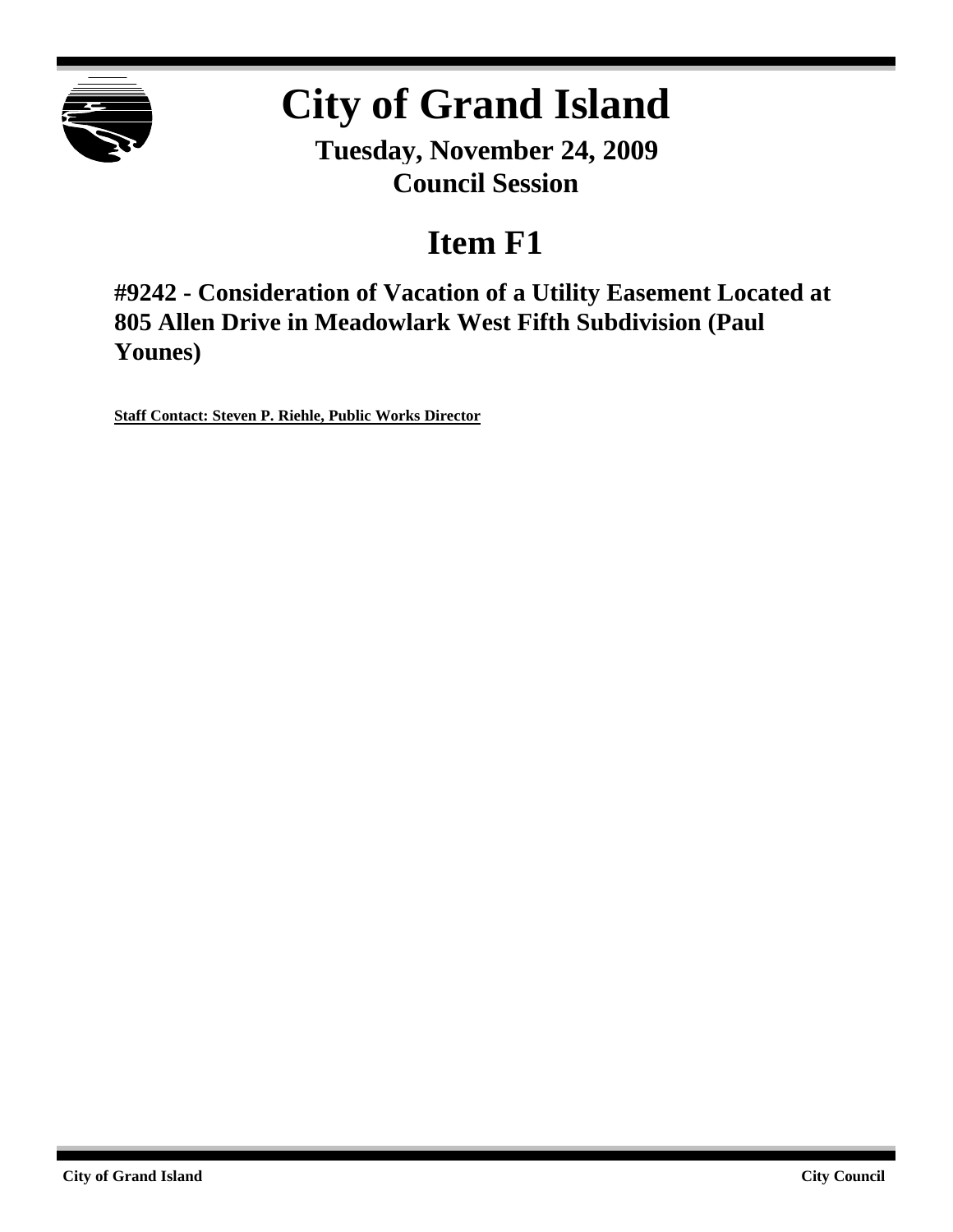

# **City of Grand Island**

**Tuesday, November 24, 2009 Council Session**

## **Item F1**

**#9242 - Consideration of Vacation of a Utility Easement Located at 805 Allen Drive in Meadowlark West Fifth Subdivision (Paul Younes)**

**Staff Contact: Steven P. Riehle, Public Works Director**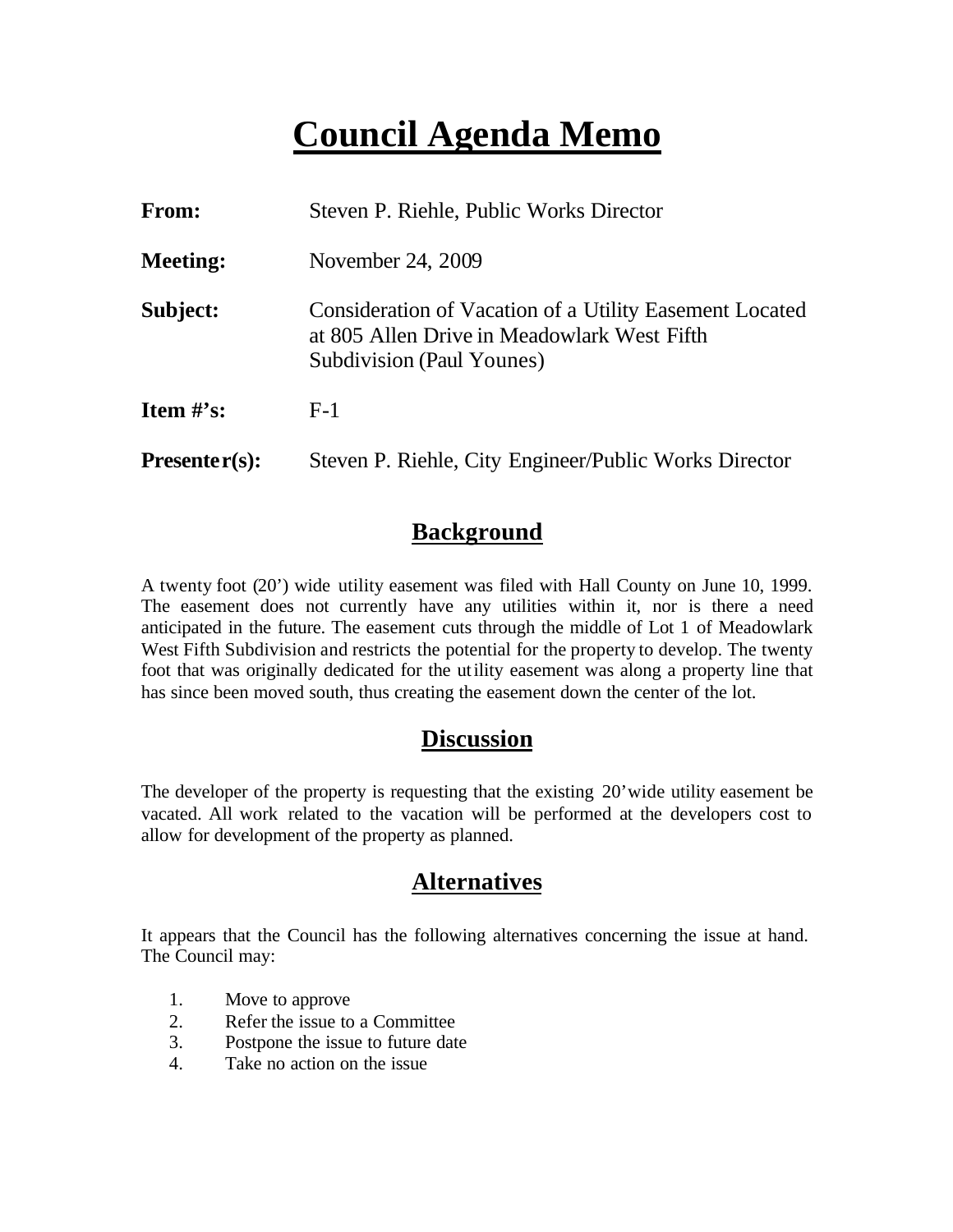## **Council Agenda Memo**

| From:           | Steven P. Riehle, Public Works Director                                                                                             |
|-----------------|-------------------------------------------------------------------------------------------------------------------------------------|
| <b>Meeting:</b> | November 24, 2009                                                                                                                   |
| Subject:        | Consideration of Vacation of a Utility Easement Located<br>at 805 Allen Drive in Meadowlark West Fifth<br>Subdivision (Paul Younes) |
| Item $#$ 's:    | $F-1$                                                                                                                               |
| $Presenter(s):$ | Steven P. Riehle, City Engineer/Public Works Director                                                                               |

### **Background**

A twenty foot (20') wide utility easement was filed with Hall County on June 10, 1999. The easement does not currently have any utilities within it, nor is there a need anticipated in the future. The easement cuts through the middle of Lot 1 of Meadowlark West Fifth Subdivision and restricts the potential for the property to develop. The twenty foot that was originally dedicated for the utility easement was along a property line that has since been moved south, thus creating the easement down the center of the lot.

### **Discussion**

The developer of the property is requesting that the existing 20'wide utility easement be vacated. All work related to the vacation will be performed at the developers cost to allow for development of the property as planned.

### **Alternatives**

It appears that the Council has the following alternatives concerning the issue at hand. The Council may:

- 1. Move to approve
- 2. Refer the issue to a Committee
- 3. Postpone the issue to future date
- 4. Take no action on the issue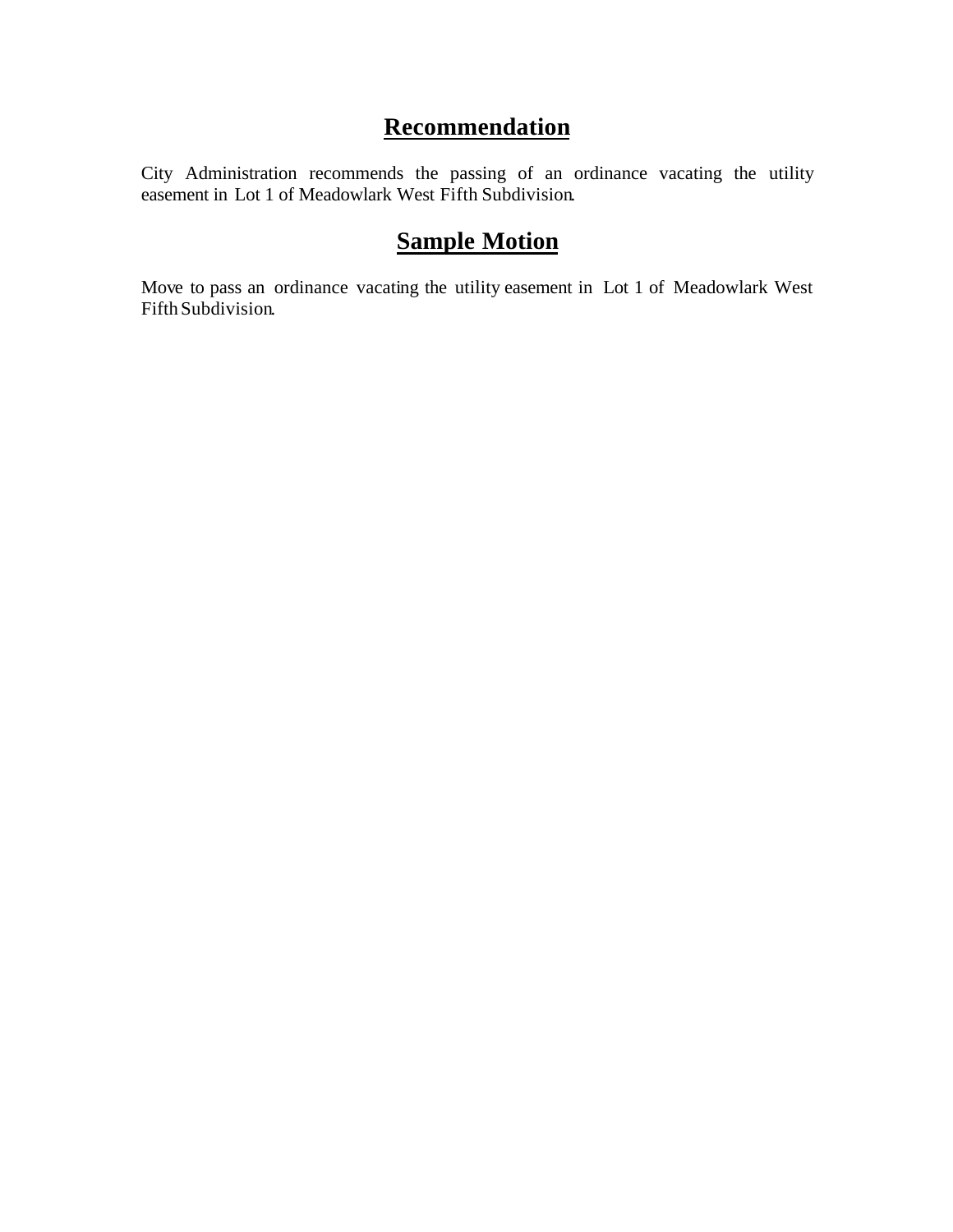## **Recommendation**

City Administration recommends the passing of an ordinance vacating the utility easement in Lot 1 of Meadowlark West Fifth Subdivision.

## **Sample Motion**

Move to pass an ordinance vacating the utility easement in Lot 1 of Meadowlark West Fifth Subdivision.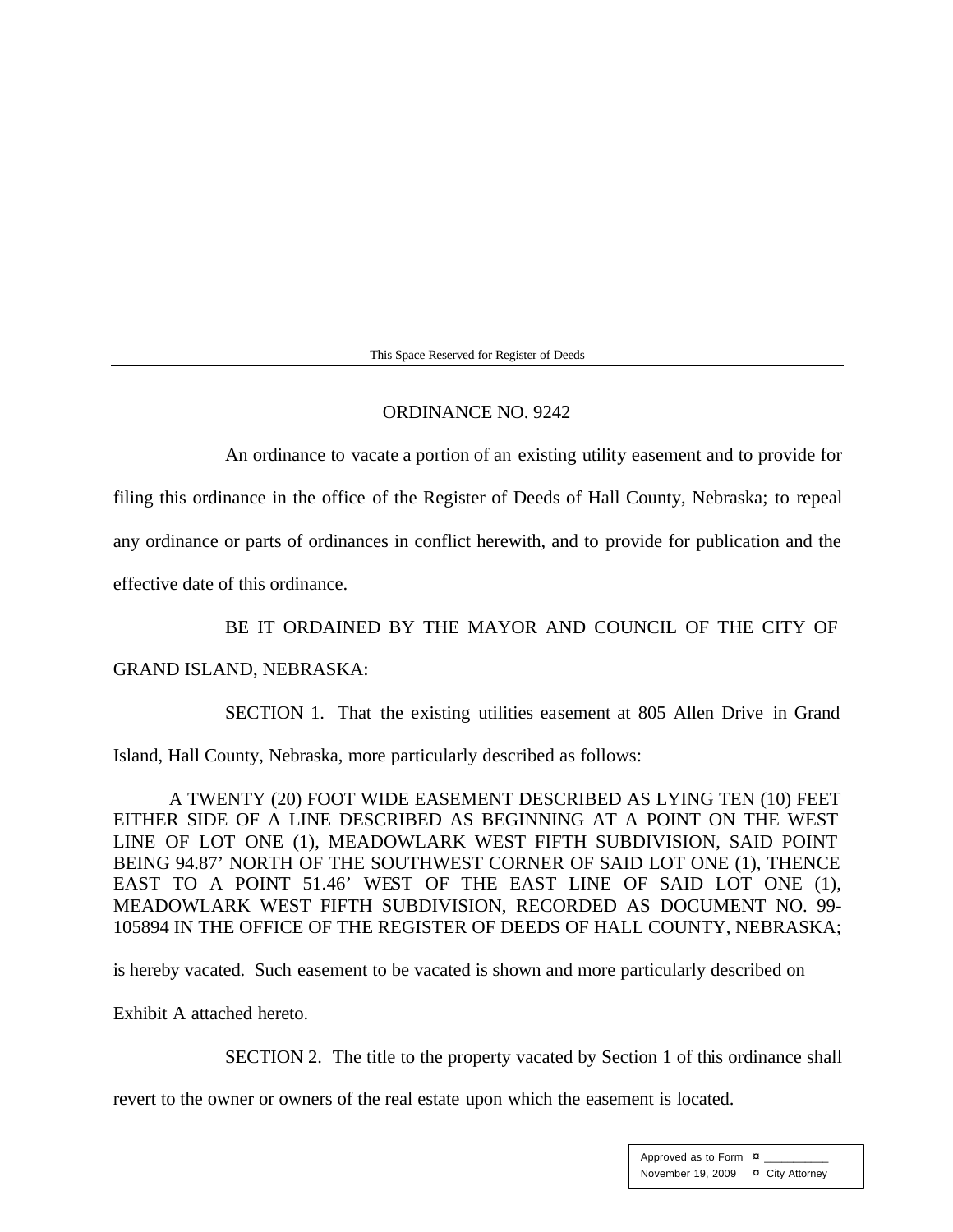This Space Reserved for Register of Deeds

#### ORDINANCE NO. 9242

An ordinance to vacate a portion of an existing utility easement and to provide for

filing this ordinance in the office of the Register of Deeds of Hall County, Nebraska; to repeal

any ordinance or parts of ordinances in conflict herewith, and to provide for publication and the

effective date of this ordinance.

BE IT ORDAINED BY THE MAYOR AND COUNCIL OF THE CITY OF GRAND ISLAND, NEBRASKA:

SECTION 1. That the existing utilities easement at 805 Allen Drive in Grand

Island, Hall County, Nebraska, more particularly described as follows:

A TWENTY (20) FOOT WIDE EASEMENT DESCRIBED AS LYING TEN (10) FEET EITHER SIDE OF A LINE DESCRIBED AS BEGINNING AT A POINT ON THE WEST LINE OF LOT ONE (1), MEADOWLARK WEST FIFTH SUBDIVISION, SAID POINT BEING 94.87' NORTH OF THE SOUTHWEST CORNER OF SAID LOT ONE (1), THENCE EAST TO A POINT 51.46' WEST OF THE EAST LINE OF SAID LOT ONE (1), MEADOWLARK WEST FIFTH SUBDIVISION, RECORDED AS DOCUMENT NO. 99- 105894 IN THE OFFICE OF THE REGISTER OF DEEDS OF HALL COUNTY, NEBRASKA;

is hereby vacated. Such easement to be vacated is shown and more particularly described on

Exhibit A attached hereto.

SECTION 2. The title to the property vacated by Section 1 of this ordinance shall

revert to the owner or owners of the real estate upon which the easement is located.

Approved as to Form  $\overline{a}$ November 19, 2009 ¤ City Attorney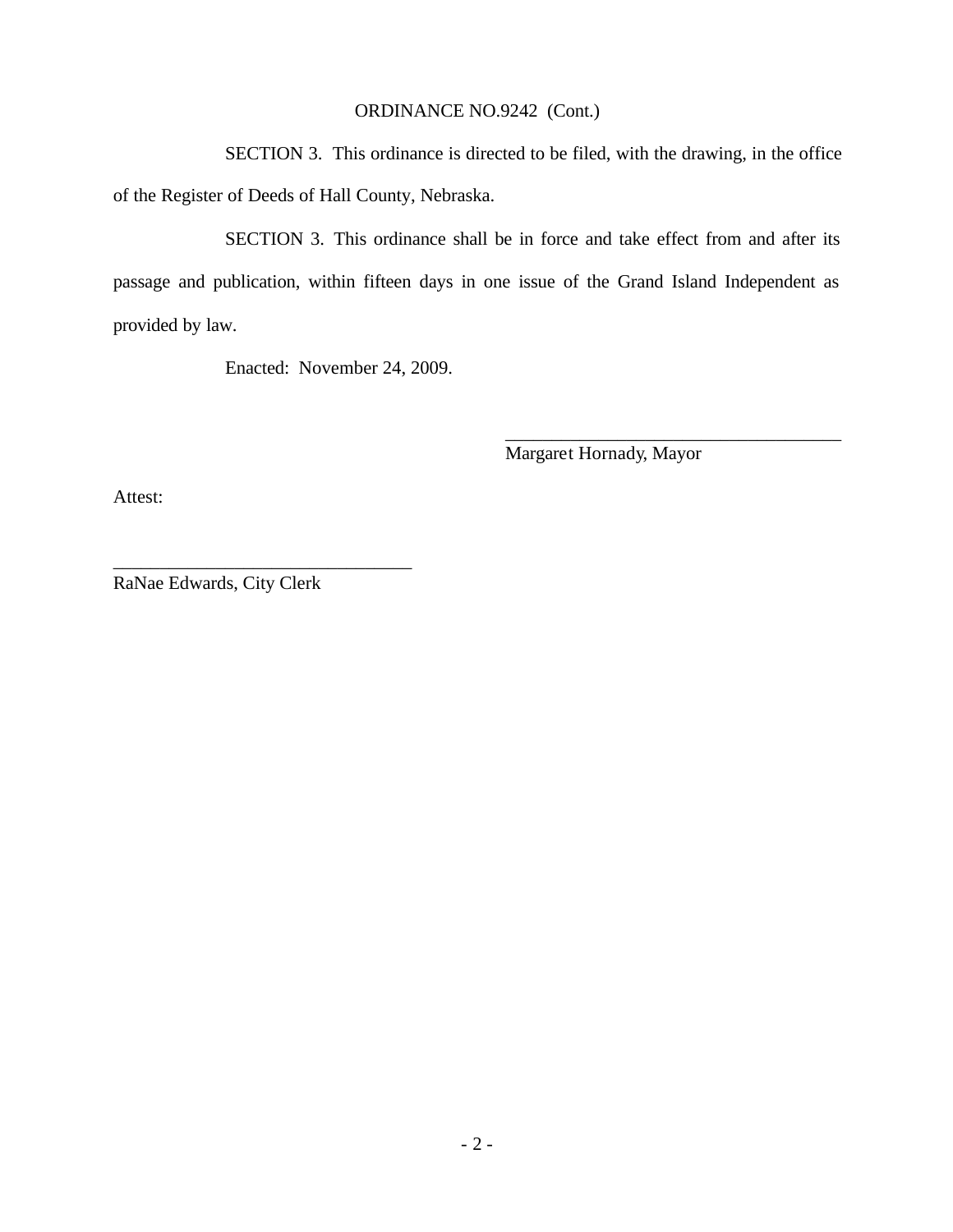#### ORDINANCE NO.9242 (Cont.)

SECTION 3. This ordinance is directed to be filed, with the drawing, in the office of the Register of Deeds of Hall County, Nebraska.

SECTION 3. This ordinance shall be in force and take effect from and after its passage and publication, within fifteen days in one issue of the Grand Island Independent as provided by law.

Enacted: November 24, 2009.

Margaret Hornady, Mayor

\_\_\_\_\_\_\_\_\_\_\_\_\_\_\_\_\_\_\_\_\_\_\_\_\_\_\_\_\_\_\_\_\_\_\_\_

Attest:

RaNae Edwards, City Clerk

\_\_\_\_\_\_\_\_\_\_\_\_\_\_\_\_\_\_\_\_\_\_\_\_\_\_\_\_\_\_\_\_